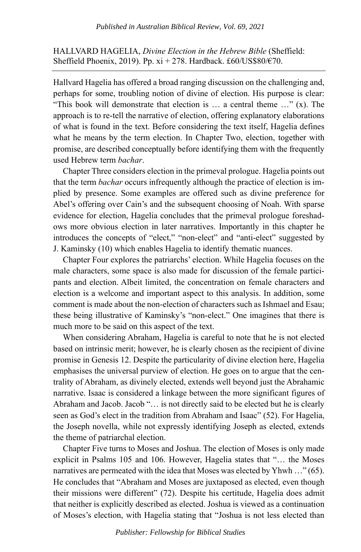HALLVARD HAGELIA, *Divine Election in the Hebrew Bible* (Sheffield: Sheffield Phoenix, 2019). Pp.  $xi + 278$ . Hardback. £60/US\$80/€70.

Hallvard Hagelia has offered a broad ranging discussion on the challenging and, perhaps for some, troubling notion of divine of election. His purpose is clear: "This book will demonstrate that election is … a central theme …" (x). The approach is to re-tell the narrative of election, offering explanatory elaborations of what is found in the text. Before considering the text itself, Hagelia defines what he means by the term election. In Chapter Two, election, together with promise, are described conceptually before identifying them with the frequently used Hebrew term *bachar*.

Chapter Three considers election in the primeval prologue. Hagelia points out that the term *bachar* occurs infrequently although the practice of election is implied by presence. Some examples are offered such as divine preference for Abel's offering over Cain's and the subsequent choosing of Noah. With sparse evidence for election, Hagelia concludes that the primeval prologue foreshadows more obvious election in later narratives. Importantly in this chapter he introduces the concepts of "elect," "non-elect" and "anti-elect" suggested by J. Kaminsky (10) which enables Hagelia to identify thematic nuances.

Chapter Four explores the patriarchs' election. While Hagelia focuses on the male characters, some space is also made for discussion of the female participants and election. Albeit limited, the concentration on female characters and election is a welcome and important aspect to this analysis. In addition, some comment is made about the non-election of characters such as Ishmael and Esau; these being illustrative of Kaminsky's "non-elect." One imagines that there is much more to be said on this aspect of the text.

When considering Abraham, Hagelia is careful to note that he is not elected based on intrinsic merit; however, he is clearly chosen as the recipient of divine promise in Genesis 12. Despite the particularity of divine election here, Hagelia emphasises the universal purview of election. He goes on to argue that the centrality of Abraham, as divinely elected, extends well beyond just the Abrahamic narrative. Isaac is considered a linkage between the more significant figures of Abraham and Jacob. Jacob "… is not directly said to be elected but he is clearly seen as God's elect in the tradition from Abraham and Isaac" (52). For Hagelia, the Joseph novella, while not expressly identifying Joseph as elected, extends the theme of patriarchal election.

Chapter Five turns to Moses and Joshua. The election of Moses is only made explicit in Psalms 105 and 106. However, Hagelia states that "… the Moses narratives are permeated with the idea that Moses was elected by Yhwh …" (65). He concludes that "Abraham and Moses are juxtaposed as elected, even though their missions were different" (72). Despite his certitude, Hagelia does admit that neither is explicitly described as elected. Joshua is viewed as a continuation of Moses's election, with Hagelia stating that "Joshua is not less elected than